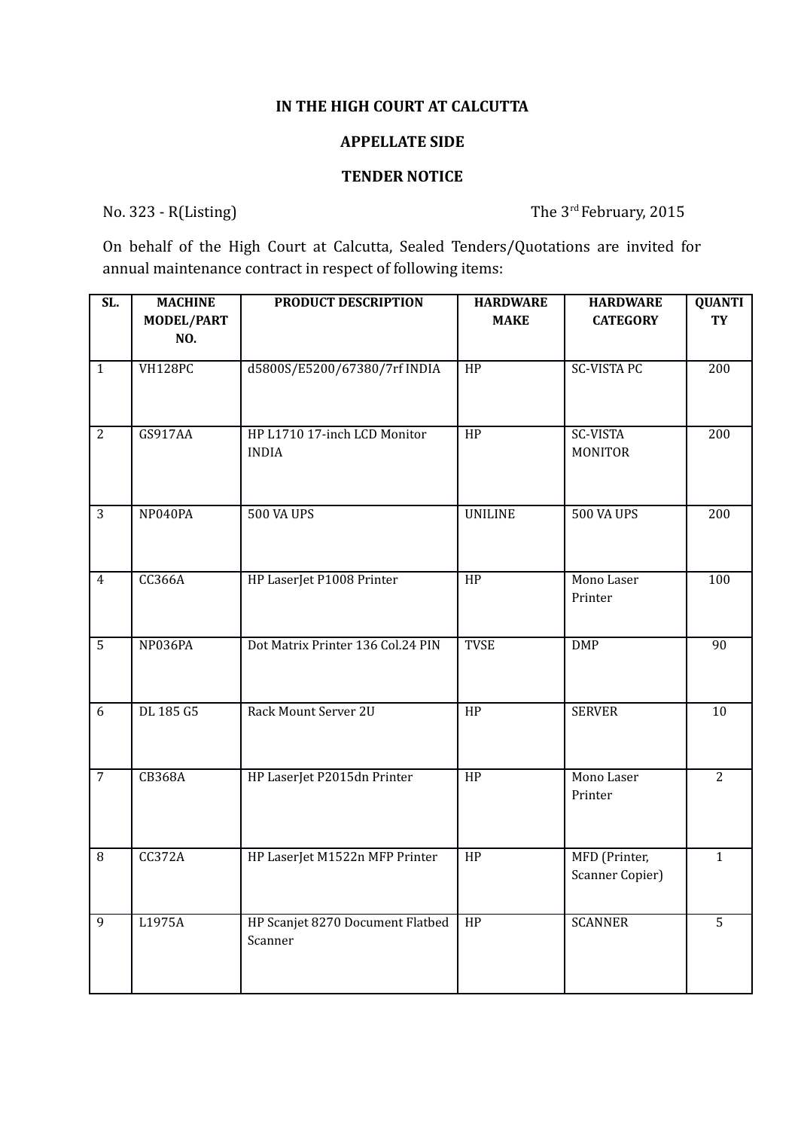## **IN THE HIGH COURT AT CALCUTTA**

## **APPELLATE SIDE**

## **TENDER NOTICE**

No. 323 - R(Listing) The 3<sup>rd</sup> February, 2015

On behalf of the High Court at Calcutta, Sealed Tenders/Quotations are invited for annual maintenance contract in respect of following items:

| SL.            | <b>MACHINE</b><br><b>MODEL/PART</b><br>NO. | PRODUCT DESCRIPTION                          | <b>HARDWARE</b><br><b>MAKE</b> | <b>HARDWARE</b><br><b>CATEGORY</b> | <b>QUANTI</b><br><b>TY</b> |
|----------------|--------------------------------------------|----------------------------------------------|--------------------------------|------------------------------------|----------------------------|
| $\mathbf{1}$   | <b>VH128PC</b>                             | d5800S/E5200/67380/7rf INDIA                 | $\overline{HP}$                | <b>SC-VISTA PC</b>                 | 200                        |
| $\overline{2}$ | GS917AA                                    | HP L1710 17-inch LCD Monitor<br><b>INDIA</b> | HP                             | <b>SC-VISTA</b><br><b>MONITOR</b>  | 200                        |
| 3              | NP040PA                                    | <b>500 VA UPS</b>                            | <b>UNILINE</b>                 | <b>500 VA UPS</b>                  | 200                        |
| $\overline{4}$ | <b>CC366A</b>                              | HP LaserJet P1008 Printer                    | $\overline{HP}$                | Mono Laser<br>Printer              | 100                        |
| $\overline{5}$ | NP036PA                                    | Dot Matrix Printer 136 Col.24 PIN            | <b>TVSE</b>                    | <b>DMP</b>                         | 90                         |
| 6              | DL 185 G5                                  | Rack Mount Server 2U                         | HP                             | <b>SERVER</b>                      | 10                         |
| $\overline{7}$ | <b>CB368A</b>                              | HP LaserJet P2015dn Printer                  | HP                             | Mono Laser<br>Printer              | $\overline{c}$             |
| 8              | <b>CC372A</b>                              | HP LaserJet M1522n MFP Printer               | HP                             | MFD (Printer,<br>Scanner Copier)   | $\mathbf{1}$               |
| 9              | L1975A                                     | HP Scanjet 8270 Document Flatbed<br>Scanner  | HP                             | <b>SCANNER</b>                     | 5                          |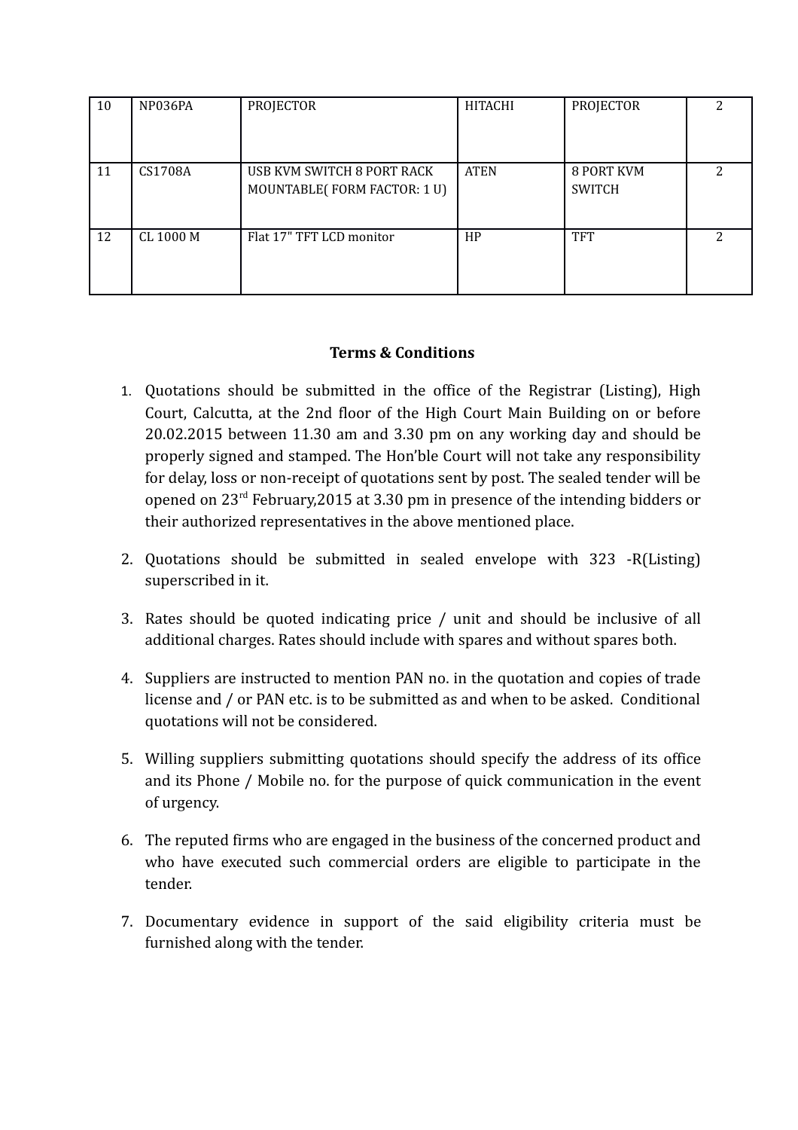| 10 | NP036PA   | PROJECTOR                                                 | HITACHI     | PROJECTOR                   |   |
|----|-----------|-----------------------------------------------------------|-------------|-----------------------------|---|
| 11 | CS1708A   | USB KVM SWITCH 8 PORT RACK<br>MOUNTABLE(FORM FACTOR: 1 U) | <b>ATEN</b> | 8 PORT KVM<br><b>SWITCH</b> | っ |
| 12 | CL 1000 M | Flat 17" TFT LCD monitor                                  | HP          | <b>TFT</b>                  | ר |

## **Terms & Conditions**

- 1. Quotations should be submitted in the office of the Registrar (Listing), High Court, Calcutta, at the 2nd floor of the High Court Main Building on or before 20.02.2015 between 11.30 am and 3.30 pm on any working day and should be properly signed and stamped. The Hon'ble Court will not take any responsibility for delay, loss or non-receipt of quotations sent by post. The sealed tender will be opened on 23rd February,2015 at 3.30 pm in presence of the intending bidders or their authorized representatives in the above mentioned place.
- 2. Quotations should be submitted in sealed envelope with 323 -R(Listing) superscribed in it.
- 3. Rates should be quoted indicating price / unit and should be inclusive of all additional charges. Rates should include with spares and without spares both.
- 4. Suppliers are instructed to mention PAN no. in the quotation and copies of trade license and / or PAN etc. is to be submitted as and when to be asked. Conditional quotations will not be considered.
- 5. Willing suppliers submitting quotations should specify the address of its office and its Phone / Mobile no. for the purpose of quick communication in the event of urgency.
- 6. The reputed firms who are engaged in the business of the concerned product and who have executed such commercial orders are eligible to participate in the tender.
- 7. Documentary evidence in support of the said eligibility criteria must be furnished along with the tender.